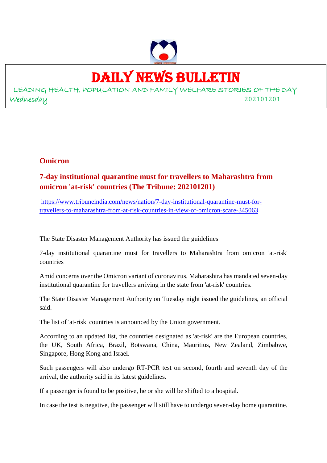

# DAILY NEWS BULLETIN

LEADING HEALTH, POPULATION AND FAMILY WELFARE STORIES OF THE DAY Wednesday 202101201

### **Omicron**

### **7-day institutional quarantine must for travellers to Maharashtra from omicron 'at-risk' countries (The Tribune: 202101201)**

https://www.tribuneindia.com/news/nation/7-day-institutional-quarantine-must-fortravellers-to-maharashtra-from-at-risk-countries-in-view-of-omicron-scare-345063

The State Disaster Management Authority has issued the guidelines

7-day institutional quarantine must for travellers to Maharashtra from omicron 'at-risk' countries

Amid concerns over the Omicron variant of coronavirus, Maharashtra has mandated seven-day institutional quarantine for travellers arriving in the state from 'at-risk' countries.

The State Disaster Management Authority on Tuesday night issued the guidelines, an official said.

The list of 'at-risk' countries is announced by the Union government.

According to an updated list, the countries designated as 'at-risk' are the European countries, the UK, South Africa, Brazil, Botswana, China, Mauritius, New Zealand, Zimbabwe, Singapore, Hong Kong and Israel.

Such passengers will also undergo RT-PCR test on second, fourth and seventh day of the arrival, the authority said in its latest guidelines.

If a passenger is found to be positive, he or she will be shifted to a hospital.

In case the test is negative, the passenger will still have to undergo seven-day home quarantine.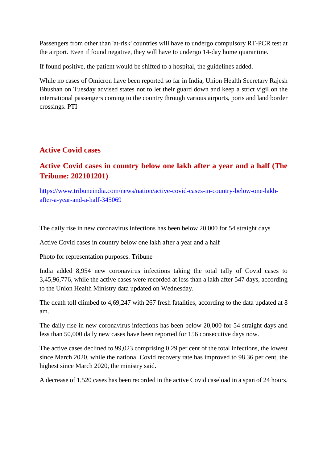Passengers from other than 'at-risk' countries will have to undergo compulsory RT-PCR test at the airport. Even if found negative, they will have to undergo 14-day home quarantine.

If found positive, the patient would be shifted to a hospital, the guidelines added.

While no cases of Omicron have been reported so far in India, Union Health Secretary Rajesh Bhushan on Tuesday advised states not to let their guard down and keep a strict vigil on the international passengers coming to the country through various airports, ports and land border crossings. PTI

### **Active Covid cases**

### **Active Covid cases in country below one lakh after a year and a half (The Tribune: 202101201)**

https://www.tribuneindia.com/news/nation/active-covid-cases-in-country-below-one-lakhafter-a-year-and-a-half-345069

The daily rise in new coronavirus infections has been below 20,000 for 54 straight days

Active Covid cases in country below one lakh after a year and a half

Photo for representation purposes. Tribune

India added 8,954 new coronavirus infections taking the total tally of Covid cases to 3,45,96,776, while the active cases were recorded at less than a lakh after 547 days, according to the Union Health Ministry data updated on Wednesday.

The death toll climbed to 4,69,247 with 267 fresh fatalities, according to the data updated at 8 am.

The daily rise in new coronavirus infections has been below 20,000 for 54 straight days and less than 50,000 daily new cases have been reported for 156 consecutive days now.

The active cases declined to 99,023 comprising 0.29 per cent of the total infections, the lowest since March 2020, while the national Covid recovery rate has improved to 98.36 per cent, the highest since March 2020, the ministry said.

A decrease of 1,520 cases has been recorded in the active Covid caseload in a span of 24 hours.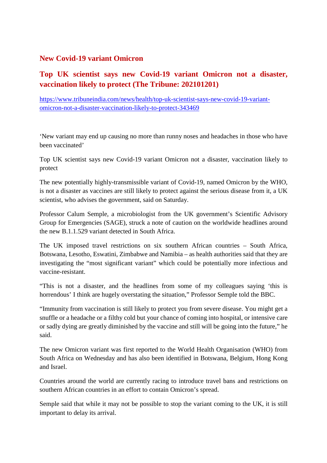### **New Covid-19 variant Omicron**

### **Top UK scientist says new Covid-19 variant Omicron not a disaster, vaccination likely to protect (The Tribune: 202101201)**

https://www.tribuneindia.com/news/health/top-uk-scientist-says-new-covid-19-variantomicron-not-a-disaster-vaccination-likely-to-protect-343469

'New variant may end up causing no more than runny noses and headaches in those who have been vaccinated'

Top UK scientist says new Covid-19 variant Omicron not a disaster, vaccination likely to protect

The new potentially highly-transmissible variant of Covid-19, named Omicron by the WHO, is not a disaster as vaccines are still likely to protect against the serious disease from it, a UK scientist, who advises the government, said on Saturday.

Professor Calum Semple, a microbiologist from the UK government's Scientific Advisory Group for Emergencies (SAGE), struck a note of caution on the worldwide headlines around the new B.1.1.529 variant detected in South Africa.

The UK imposed travel restrictions on six southern African countries – South Africa, Botswana, Lesotho, Eswatini, Zimbabwe and Namibia – as health authorities said that they are investigating the "most significant variant" which could be potentially more infectious and vaccine-resistant.

"This is not a disaster, and the headlines from some of my colleagues saying 'this is horrendous' I think are hugely overstating the situation," Professor Semple told the BBC.

"Immunity from vaccination is still likely to protect you from severe disease. You might get a snuffle or a headache or a filthy cold but your chance of coming into hospital, or intensive care or sadly dying are greatly diminished by the vaccine and still will be going into the future," he said.

The new Omicron variant was first reported to the World Health Organisation (WHO) from South Africa on Wednesday and has also been identified in Botswana, Belgium, Hong Kong and Israel.

Countries around the world are currently racing to introduce travel bans and restrictions on southern African countries in an effort to contain Omicron's spread.

Semple said that while it may not be possible to stop the variant coming to the UK, it is still important to delay its arrival.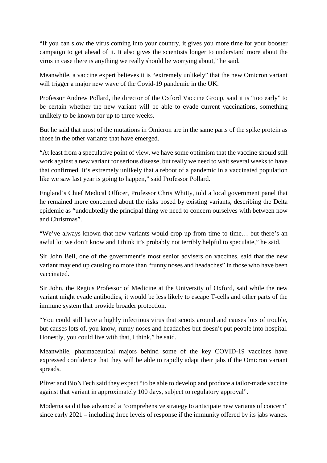"If you can slow the virus coming into your country, it gives you more time for your booster campaign to get ahead of it. It also gives the scientists longer to understand more about the virus in case there is anything we really should be worrying about," he said.

Meanwhile, a vaccine expert believes it is "extremely unlikely" that the new Omicron variant will trigger a major new wave of the Covid-19 pandemic in the UK.

Professor Andrew Pollard, the director of the Oxford Vaccine Group, said it is "too early" to be certain whether the new variant will be able to evade current vaccinations, something unlikely to be known for up to three weeks.

But he said that most of the mutations in Omicron are in the same parts of the spike protein as those in the other variants that have emerged.

"At least from a speculative point of view, we have some optimism that the vaccine should still work against a new variant for serious disease, but really we need to wait several weeks to have that confirmed. It's extremely unlikely that a reboot of a pandemic in a vaccinated population like we saw last year is going to happen," said Professor Pollard.

England's Chief Medical Officer, Professor Chris Whitty, told a local government panel that he remained more concerned about the risks posed by existing variants, describing the Delta epidemic as "undoubtedly the principal thing we need to concern ourselves with between now and Christmas".

"We've always known that new variants would crop up from time to time… but there's an awful lot we don't know and I think it's probably not terribly helpful to speculate," he said.

Sir John Bell, one of the government's most senior advisers on vaccines, said that the new variant may end up causing no more than "runny noses and headaches" in those who have been vaccinated.

Sir John, the Regius Professor of Medicine at the University of Oxford, said while the new variant might evade antibodies, it would be less likely to escape T-cells and other parts of the immune system that provide broader protection.

"You could still have a highly infectious virus that scoots around and causes lots of trouble, but causes lots of, you know, runny noses and headaches but doesn't put people into hospital. Honestly, you could live with that, I think," he said.

Meanwhile, pharmaceutical majors behind some of the key COVID-19 vaccines have expressed confidence that they will be able to rapidly adapt their jabs if the Omicron variant spreads.

Pfizer and BioNTech said they expect "to be able to develop and produce a tailor-made vaccine against that variant in approximately 100 days, subject to regulatory approval".

Moderna said it has advanced a "comprehensive strategy to anticipate new variants of concern" since early 2021 – including three levels of response if the immunity offered by its jabs wanes.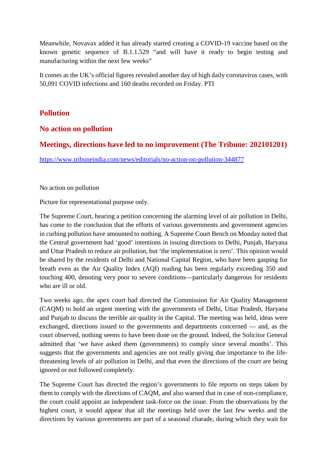Meanwhile, Novavax added it has already started creating a COVID-19 vaccine based on the known genetic sequence of B.1.1.529 "and will have it ready to begin testing and manufacturing within the next few weeks"

It comes as the UK's official figures revealed another day of high daily coronavirus cases, with 50,091 COVID infections and 160 deaths recorded on Friday. PTI

### **Pollution**

### **No action on pollution**

### **Meetings, directions have led to no improvement (The Tribune: 202101201)**

https://www.tribuneindia.com/news/editorials/no-action-on-pollution-344877

No action on pollution

Picture for representational purpose only.

The Supreme Court, hearing a petition concerning the alarming level of air pollution in Delhi, has come to the conclusion that the efforts of various governments and government agencies in curbing pollution have amounted to nothing. A Supreme Court Bench on Monday noted that the Central government had 'good' intentions in issuing directions to Delhi, Punjab, Haryana and Uttar Pradesh to reduce air pollution, but 'the implementation is zero'. This opinion would be shared by the residents of Delhi and National Capital Region, who have been gasping for breath even as the Air Quality Index (AQI) reading has been regularly exceeding 350 and touching 400, denoting very poor to severe conditions—particularly dangerous for residents who are ill or old.

Two weeks ago, the apex court had directed the Commission for Air Quality Management (CAQM) to hold an urgent meeting with the governments of Delhi, Uttar Pradesh, Haryana and Punjab to discuss the terrible air quality in the Capital. The meeting was held, ideas were exchanged, directions issued to the governments and departments concerned — and, as the court observed, nothing seems to have been done on the ground. Indeed, the Solicitor General admitted that 'we have asked them (governments) to comply since several months'. This suggests that the governments and agencies are not really giving due importance to the lifethreatening levels of air pollution in Delhi, and that even the directions of the court are being ignored or not followed completely.

The Supreme Court has directed the region's governments to file reports on steps taken by them to comply with the directions of CAQM, and also warned that in case of non-compliance, the court could appoint an independent task-force on the issue. From the observations by the highest court, it would appear that all the meetings held over the last few weeks and the directions by various governments are part of a seasonal charade, during which they wait for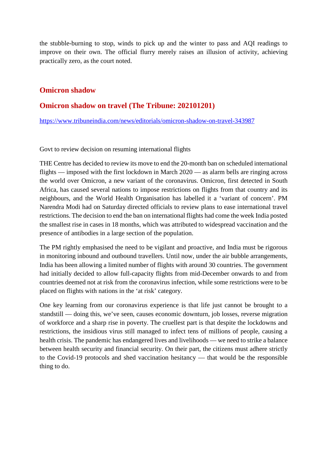the stubble-burning to stop, winds to pick up and the winter to pass and AQI readings to improve on their own. The official flurry merely raises an illusion of activity, achieving practically zero, as the court noted.

### **Omicron shadow**

### **Omicron shadow on travel (The Tribune: 202101201)**

https://www.tribuneindia.com/news/editorials/omicron-shadow-on-travel-343987

Govt to review decision on resuming international flights

THE Centre has decided to review its move to end the 20-month ban on scheduled international flights — imposed with the first lockdown in March 2020 — as alarm bells are ringing across the world over Omicron, a new variant of the coronavirus. Omicron, first detected in South Africa, has caused several nations to impose restrictions on flights from that country and its neighbours, and the World Health Organisation has labelled it a 'variant of concern'. PM Narendra Modi had on Saturday directed officials to review plans to ease international travel restrictions. The decision to end the ban on international flights had come the week India posted the smallest rise in cases in 18 months, which was attributed to widespread vaccination and the presence of antibodies in a large section of the population.

The PM rightly emphasised the need to be vigilant and proactive, and India must be rigorous in monitoring inbound and outbound travellers. Until now, under the air bubble arrangements, India has been allowing a limited number of flights with around 30 countries. The government had initially decided to allow full-capacity flights from mid-December onwards to and from countries deemed not at risk from the coronavirus infection, while some restrictions were to be placed on flights with nations in the 'at risk' category.

One key learning from our coronavirus experience is that life just cannot be brought to a standstill — doing this, we've seen, causes economic downturn, job losses, reverse migration of workforce and a sharp rise in poverty. The cruellest part is that despite the lockdowns and restrictions, the insidious virus still managed to infect tens of millions of people, causing a health crisis. The pandemic has endangered lives and livelihoods — we need to strike a balance between health security and financial security. On their part, the citizens must adhere strictly to the Covid-19 protocols and shed vaccination hesitancy — that would be the responsible thing to do.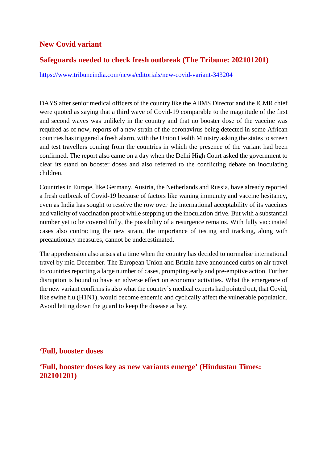### **New Covid variant**

### **Safeguards needed to check fresh outbreak (The Tribune: 202101201)**

https://www.tribuneindia.com/news/editorials/new-covid-variant-343204

DAYS after senior medical officers of the country like the AIIMS Director and the ICMR chief were quoted as saying that a third wave of Covid-19 comparable to the magnitude of the first and second waves was unlikely in the country and that no booster dose of the vaccine was required as of now, reports of a new strain of the coronavirus being detected in some African countries has triggered a fresh alarm, with the Union Health Ministry asking the states to screen and test travellers coming from the countries in which the presence of the variant had been confirmed. The report also came on a day when the Delhi High Court asked the government to clear its stand on booster doses and also referred to the conflicting debate on inoculating children.

Countries in Europe, like Germany, Austria, the Netherlands and Russia, have already reported a fresh outbreak of Covid-19 because of factors like waning immunity and vaccine hesitancy, even as India has sought to resolve the row over the international acceptability of its vaccines and validity of vaccination proof while stepping up the inoculation drive. But with a substantial number yet to be covered fully, the possibility of a resurgence remains. With fully vaccinated cases also contracting the new strain, the importance of testing and tracking, along with precautionary measures, cannot be underestimated.

The apprehension also arises at a time when the country has decided to normalise international travel by mid-December. The European Union and Britain have announced curbs on air travel to countries reporting a large number of cases, prompting early and pre-emptive action. Further disruption is bound to have an adverse effect on economic activities. What the emergence of the new variant confirms is also what the country's medical experts had pointed out, that Covid, like swine flu (H1N1), would become endemic and cyclically affect the vulnerable population. Avoid letting down the guard to keep the disease at bay.

### **'Full, booster doses**

**'Full, booster doses key as new variants emerge' (Hindustan Times: 202101201)**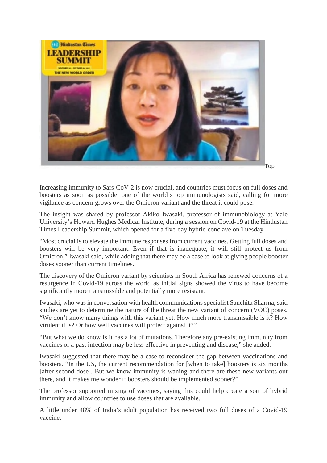

Top

Increasing immunity to Sars-CoV-2 is now crucial, and countries must focus on full doses and boosters as soon as possible, one of the world's top immunologists said, calling for more vigilance as concern grows over the Omicron variant and the threat it could pose.

The insight was shared by professor Akiko Iwasaki, professor of immunobiology at Yale University's Howard Hughes Medical Institute, during a session on Covid-19 at the Hindustan Times Leadership Summit, which opened for a five-day hybrid conclave on Tuesday.

"Most crucial is to elevate the immune responses from current vaccines. Getting full doses and boosters will be very important. Even if that is inadequate, it will still protect us from Omicron," Iwasaki said, while adding that there may be a case to look at giving people booster doses sooner than current timelines.

The discovery of the Omicron variant by scientists in South Africa has renewed concerns of a resurgence in Covid-19 across the world as initial signs showed the virus to have become significantly more transmissible and potentially more resistant.

Iwasaki, who was in conversation with health communications specialist Sanchita Sharma, said studies are yet to determine the nature of the threat the new variant of concern (VOC) poses. "We don't know many things with this variant yet. How much more transmissible is it? How virulent it is? Or how well vaccines will protect against it?"

"But what we do know is it has a lot of mutations. Therefore any pre-existing immunity from vaccines or a past infection may be less effective in preventing and disease," she added.

Iwasaki suggested that there may be a case to reconsider the gap between vaccinations and boosters. "In the US, the current recommendation for [when to take] boosters is six months [after second dose]. But we know immunity is waning and there are these new variants out there, and it makes me wonder if boosters should be implemented sooner?"

The professor supported mixing of vaccines, saying this could help create a sort of hybrid immunity and allow countries to use doses that are available.

A little under 48% of India's adult population has received two full doses of a Covid-19 vaccine.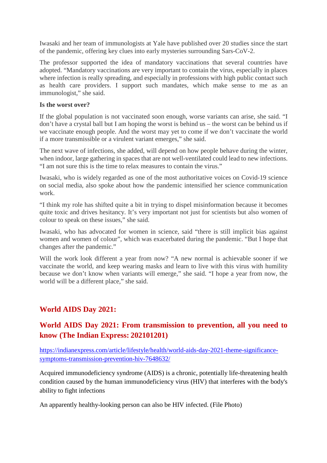Iwasaki and her team of immunologists at Yale have published over 20 studies since the start of the pandemic, offering key clues into early mysteries surrounding Sars-CoV-2.

The professor supported the idea of mandatory vaccinations that several countries have adopted. "Mandatory vaccinations are very important to contain the virus, especially in places where infection is really spreading, and especially in professions with high public contact such as health care providers. I support such mandates, which make sense to me as an immunologist," she said.

### **Is the worst over?**

If the global population is not vaccinated soon enough, worse variants can arise, she said. "I don't have a crystal ball but I am hoping the worst is behind us – the worst can be behind us if we vaccinate enough people. And the worst may yet to come if we don't vaccinate the world if a more transmissible or a virulent variant emerges," she said.

The next wave of infections, she added, will depend on how people behave during the winter, when indoor, large gathering in spaces that are not well-ventilated could lead to new infections. "I am not sure this is the time to relax measures to contain the virus."

Iwasaki, who is widely regarded as one of the most authoritative voices on Covid-19 science on social media, also spoke about how the pandemic intensified her science communication work.

"I think my role has shifted quite a bit in trying to dispel misinformation because it becomes quite toxic and drives hesitancy. It's very important not just for scientists but also women of colour to speak on these issues," she said.

Iwasaki, who has advocated for women in science, said "there is still implicit bias against women and women of colour", which was exacerbated during the pandemic. "But I hope that changes after the pandemic."

Will the work look different a year from now? "A new normal is achievable sooner if we vaccinate the world, and keep wearing masks and learn to live with this virus with humility because we don't know when variants will emerge," she said. "I hope a year from now, the world will be a different place," she said.

### **World AIDS Day 2021:**

### **World AIDS Day 2021: From transmission to prevention, all you need to know (The Indian Express: 202101201)**

https://indianexpress.com/article/lifestyle/health/world-aids-day-2021-theme-significancesymptoms-transmission-prevention-hiv-7648632/

Acquired immunodeficiency syndrome (AIDS) is a chronic, potentially life-threatening health condition caused by the human immunodeficiency virus (HIV) that interferes with the body's ability to fight infections

An apparently healthy-looking person can also be HIV infected. (File Photo)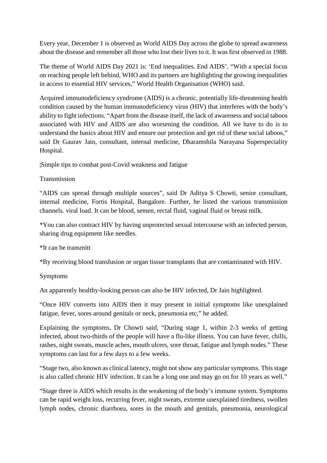Every year, December 1 is observed as World AIDS Day across the globe to spread awareness about the disease and remember all those who lost their lives to it. It was first observed in 1988.

The theme of World AIDS Day 2021 is: 'End inequalities. End AIDS'. "With a special focus on reaching people left behind, WHO and its partners are highlighting the growing inequalities in access to essential HIV services," World Health Organisation (WHO) said.

Acquired immunodeficiency syndrome (AIDS) is a chronic, potentially life-threatening health condition caused by the human immunodeficiency virus (HIV) that interferes with the body's ability to fight infections. "Apart from the disease itself, the lack of awareness and social taboos associated with HIV and AIDS are also worsening the condition. All we have to do is to understand the basics about HIV and ensure our protection and get rid of these social taboos," said Dr Gaurav Jain, consultant, internal medicine, Dharamshila Narayana Superspeciality Hospital.

|Simple tips to combat post-Covid weakness and fatigue

### Transmission

"AIDS can spread through multiple sources", said Dr Aditya S Chowti, senior consultant, internal medicine, Fortis Hospital, Bangalore. Further, he listed the various transmission channels. viral load. It can be blood, semen, rectal fluid, vaginal fluid or breast milk.

\*You can also contract HIV by having unprotected sexual intercourse with an infected person, sharing drug equipment like needles.

### \*It can be transmitt

\*By receiving blood transfusion or organ tissue transplants that are contaminated with HIV.

### Symptoms

An apparently healthy-looking person can also be HIV infected, Dr Jain highlighted.

"Once HIV converts into AIDS then it may present in initial symptoms like unexplained fatigue, fever, sores around genitals or neck, pneumonia etc," he added.

Explaining the symptoms, Dr Chowti said, "During stage 1, within 2-3 weeks of getting infected, about two-thirds of the people will have a flu-like illness. You can have fever, chills, rashes, night sweats, muscle aches, mouth ulcers, sore throat, fatigue and lymph nodes." These symptoms can last for a few days to a few weeks.

"Stage two, also known as clinical latency, might not show any particular symptoms. This stage is also called chronic HIV infection. It can be a long one and may go on for 10 years as well."

"Stage three is AIDS which results in the weakening of the body's immune system. Symptoms can be rapid weight loss, recurring fever, night sweats, extreme unexplained tiredness, swollen lymph nodes, chronic diarrhoea, sores in the mouth and genitals, pneumonia, neurological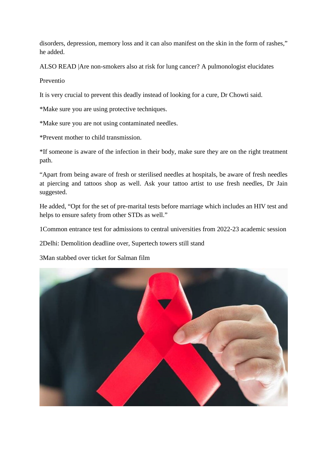disorders, depression, memory loss and it can also manifest on the skin in the form of rashes," he added.

ALSO READ |Are non-smokers also at risk for lung cancer? A pulmonologist elucidates

Preventio

It is very crucial to prevent this deadly instead of looking for a cure, Dr Chowti said.

\*Make sure you are using protective techniques.

\*Make sure you are not using contaminated needles.

\*Prevent mother to child transmission.

\*If someone is aware of the infection in their body, make sure they are on the right treatment path.

"Apart from being aware of fresh or sterilised needles at hospitals, be aware of fresh needles at piercing and tattoos shop as well. Ask your tattoo artist to use fresh needles, Dr Jain suggested.

He added, "Opt for the set of pre-marital tests before marriage which includes an HIV test and helps to ensure safety from other STDs as well."

1Common entrance test for admissions to central universities from 2022-23 academic session

2Delhi: Demolition deadline over, Supertech towers still stand

3Man stabbed over ticket for Salman film

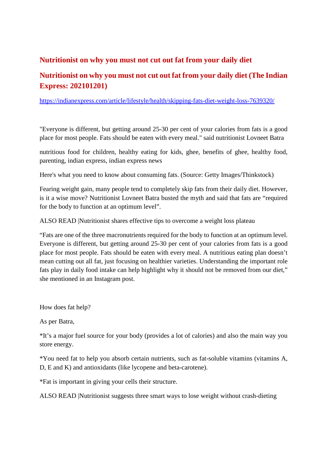### **Nutritionist on why you must not cut out fat from your daily diet**

### **Nutritionist on why you must not cut out fat from your daily diet (The Indian Express: 202101201)**

https://indianexpress.com/article/lifestyle/health/skipping-fats-diet-weight-loss-7639320/

"Everyone is different, but getting around 25-30 per cent of your calories from fats is a good place for most people. Fats should be eaten with every meal." said nutritionist Lovneet Batra

nutritious food for children, healthy eating for kids, ghee, benefits of ghee, healthy food, parenting, indian express, indian express news

Here's what you need to know about consuming fats. (Source: Getty Images/Thinkstock)

Fearing weight gain, many people tend to completely skip fats from their daily diet. However, is it a wise move? Nutritionist Lovneet Batra busted the myth and said that fats are "required for the body to function at an optimum level".

ALSO READ |Nutritionist shares effective tips to overcome a weight loss plateau

"Fats are one of the three macronutrients required for the body to function at an optimum level. Everyone is different, but getting around 25-30 per cent of your calories from fats is a good place for most people. Fats should be eaten with every meal. A nutritious eating plan doesn't mean cutting out all fat, just focusing on healthier varieties. Understanding the important role fats play in daily food intake can help highlight why it should not be removed from our diet," she mentioned in an Instagram post.

How does fat help?

As per Batra,

\*It's a major fuel source for your body (provides a lot of calories) and also the main way you store energy.

\*You need fat to help you absorb certain nutrients, such as fat-soluble vitamins (vitamins A, D, E and K) and antioxidants (like lycopene and beta-carotene).

\*Fat is important in giving your cells their structure.

ALSO READ |Nutritionist suggests three smart ways to lose weight without crash-dieting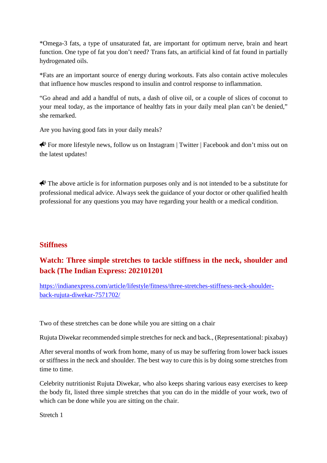\*Omega-3 fats, a type of unsaturated fat, are important for optimum nerve, brain and heart function. One type of fat you don't need? Trans fats, an artificial kind of fat found in partially hydrogenated oils.

\*Fats are an important source of energy during workouts. Fats also contain active molecules that influence how muscles respond to insulin and control response to inflammation.

"Go ahead and add a handful of nuts, a dash of olive oil, or a couple of slices of coconut to your meal today, as the importance of healthy fats in your daily meal plan can't be denied," she remarked.

Are you having good fats in your daily meals?

 $\bigotimes$  For more lifestyle news, follow us on Instagram | Twitter | Facebook and don't miss out on the latest updates!

 $\bigtriangleup$  The above article is for information purposes only and is not intended to be a substitute for professional medical advice. Always seek the guidance of your doctor or other qualified health professional for any questions you may have regarding your health or a medical condition.

### **Stiffness**

### **Watch: Three simple stretches to tackle stiffness in the neck, shoulder and back (The Indian Express: 202101201**

https://indianexpress.com/article/lifestyle/fitness/three-stretches-stiffness-neck-shoulderback-rujuta-diwekar-7571702/

Two of these stretches can be done while you are sitting on a chair

Rujuta Diwekar recommended simple stretches for neck and back., (Representational: pixabay)

After several months of work from home, many of us may be suffering from lower back issues or stiffness in the neck and shoulder. The best way to cure this is by doing some stretches from time to time.

Celebrity nutritionist Rujuta Diwekar, who also keeps sharing various easy exercises to keep the body fit, listed three simple stretches that you can do in the middle of your work, two of which can be done while you are sitting on the chair.

Stretch 1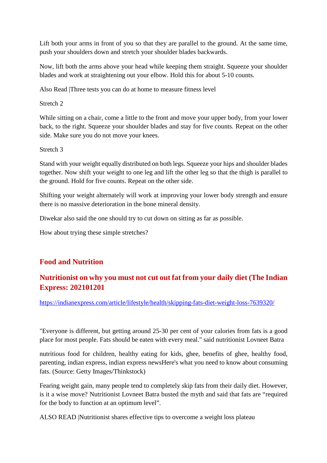Lift both your arms in front of you so that they are parallel to the ground. At the same time, push your shoulders down and stretch your shoulder blades backwards.

Now, lift both the arms above your head while keeping them straight. Squeeze your shoulder blades and work at straightening out your elbow. Hold this for about 5-10 counts.

Also Read |Three tests you can do at home to measure fitness level

Stretch 2

While sitting on a chair, come a little to the front and move your upper body, from your lower back, to the right. Squeeze your shoulder blades and stay for five counts. Repeat on the other side. Make sure you do not move your knees.

Stretch 3

Stand with your weight equally distributed on both legs. Squeeze your hips and shoulder blades together. Now shift your weight to one leg and lift the other leg so that the thigh is parallel to the ground. Hold for five counts. Repeat on the other side.

Shifting your weight alternately will work at improving your lower body strength and ensure there is no massive deterioration in the bone mineral density.

Diwekar also said the one should try to cut down on sitting as far as possible.

How about trying these simple stretches?

### **Food and Nutrition**

### **Nutritionist on why you must not cut out fat from your daily diet (The Indian Express: 202101201**

https://indianexpress.com/article/lifestyle/health/skipping-fats-diet-weight-loss-7639320/

"Everyone is different, but getting around 25-30 per cent of your calories from fats is a good place for most people. Fats should be eaten with every meal." said nutritionist Lovneet Batra

nutritious food for children, healthy eating for kids, ghee, benefits of ghee, healthy food, parenting, indian express, indian express newsHere's what you need to know about consuming fats. (Source: Getty Images/Thinkstock)

Fearing weight gain, many people tend to completely skip fats from their daily diet. However, is it a wise move? Nutritionist Lovneet Batra busted the myth and said that fats are "required for the body to function at an optimum level".

ALSO READ |Nutritionist shares effective tips to overcome a weight loss plateau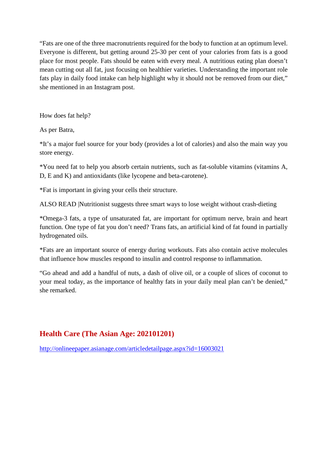"Fats are one of the three macronutrients required for the body to function at an optimum level. Everyone is different, but getting around 25-30 per cent of your calories from fats is a good place for most people. Fats should be eaten with every meal. A nutritious eating plan doesn't mean cutting out all fat, just focusing on healthier varieties. Understanding the important role fats play in daily food intake can help highlight why it should not be removed from our diet," she mentioned in an Instagram post.

How does fat help?

As per Batra,

\*It's a major fuel source for your body (provides a lot of calories) and also the main way you store energy.

\*You need fat to help you absorb certain nutrients, such as fat-soluble vitamins (vitamins A, D, E and K) and antioxidants (like lycopene and beta-carotene).

\*Fat is important in giving your cells their structure.

ALSO READ |Nutritionist suggests three smart ways to lose weight without crash-dieting

\*Omega-3 fats, a type of unsaturated fat, are important for optimum nerve, brain and heart function. One type of fat you don't need? Trans fats, an artificial kind of fat found in partially hydrogenated oils.

\*Fats are an important source of energy during workouts. Fats also contain active molecules that influence how muscles respond to insulin and control response to inflammation.

"Go ahead and add a handful of nuts, a dash of olive oil, or a couple of slices of coconut to your meal today, as the importance of healthy fats in your daily meal plan can't be denied," she remarked.

### **Health Care (The Asian Age: 202101201)**

http://onlineepaper.asianage.com/articledetailpage.aspx?id=16003021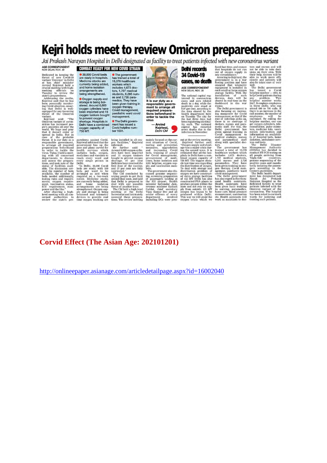# **Kejri holds meet to review Omicron preparedness**

Jai Prakash Narayan Hospital in Delhi designated as facility to treat patients infected with new coronavirus variant

Jai Prakash Narayan Hospital in Delhi designated as facility to treat patients infected with new coronavirus variant the control of the control of the control of the control of the control of the control of the control of



### **Corvid Effect (The Asian Age: 202101201)**

http://onlineepaper.asianage.com/articledetailpage.aspx?id=16002040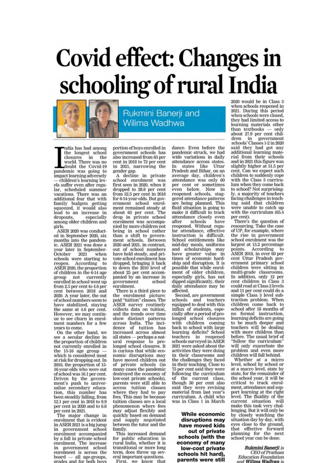# **Covid effect: Changes in** schooling of rural India



Rukmini Banerji and Wilima Wadhwa

ndia has had among the longest school closures in the world. There was no doubt the Covid-19 pandemic was going to impact learning adversely children's learning levels suffer even after regular, scheduled summer vacations. There was an<br>additional fear that with family budgets getting squeezed, it would also lead to an increase in dropouts, especially among older children and girls

ASER 2020 was conducted in September 2020, six months into the pandemic. ASER 2021 was done a year later in September-October 2021 when schools were starting to reopen. According to ASER 2020, the proportion of children in the 6-14 age group not currently<br>enrolled in school went up from 2.5 per cent to 4.6 per cent between 2018 and 2020. A year later, the out of school numbers seem to have stabilized, staying the same at 4.6 per cent. However, we may continue to see churn in enrolment numbers for a few vears to come.

On the other hand, we see a secular decline in the proportion of children not currently enrolled in the  $15-16$  age group —<br>which is considered most at risk for dropping out. In 2010, the proportion of 15-<br>16-year-olds who were out of school was 16.1 per cent.<br>Driven by the government's push to universalise secondary education, this number has<br>been steadily falling, from 12.1 per cent in 2018 to 9.9 per cent in 2020 and to 6.6 per cent in 2021.

The major change in enrolment that is evident in ASER 2021 is a big jump government school în enrolment accompanied by a fall in private school<br>enrolment. The increase government school in enrolment is across the  $board$  - all age-groups, grades and for both boys portion of boys enrolled in government schools has also increased from 63 per cent in 2018 to 72 per cent in 2021, narrowing the gender gap.

A decline in private school enrolment was first seen in 2020, when it dropped to 28.8 per cent from 32.5 per cent in 2018 for 6-14-year-olds. But government school enrolment remained steady at<br>about 65 per cent. The drop in private school enrolment was accompanied by more children not being in school rather than a shift to government schools. Between 2020 and 2021, in contrast, out of school numbers have held steady, and private school enrolment has dropped, bringing it back to down the 2010 level of about 25 per cent accom-<br>panied by an increase in government school enrolment.

There is a third piece to the enrolment picture: example "tuition" classes. The<br>ASER survey routinely<br>collects data on tuition,<br>and the trends over time show distinct patterns<br>across India. The incidence of tuition has<br>increased across almost all states — perhaps a nat-<br>ural response to prolonged school closures. It is curious that while economic disruptions may have moved children out of private schools (in many cases the pandemic destroyed the economy of low-cost private schools). parents were still able to access tuition classes where they had to pay<br>fees. This may be because tuition classes are a local phenomenon where fees may adjust flexibly and quickly based on demand<br>and supply negotiated<br>between the tutor and the family.

This increased demand for public education in rural India, whether it is transitional or more long term, does throw up several important questions.

First, we know that

dance. Even before the pandemic struck, we had wide variations in daily attendance across states.<br>In states like Uttar<br>Pradesh and Bihar, on an average day, children's attendance was only 60 per cent or sometimes even below. Now in reopened schools, staggered attendance patterns are being planned. This fluid situation is going to make it difficult to track attendance closely even<br>after schools have after schools have<br>reopened. Without regular attendance, effective<br>instruction is difficult.<br>School entitlements like mid-day meals, uniforms and scholarships may have greater value in times of economic hard-<br>ship and disruption. It is possible that while enrolment of older children,<br>especially girls, has not<br>dipped significantly, their<br>daily attendance may be affected.

Second, are government schools and teachers<br>equipped to deal with this influx of students, especially after a period of prolonged school closures<br>with children coming back to school with large learning deficits? School teachers in reopened<br>schools surveyed in ASER 2021 were asked about the activities they were doing in their classrooms and the challenges they faced in their teaching. Close to 75 per cent said they were following the curriculum of the current class, though 50 per cent also<br>said they were revising material from last year's<br>curriculum. A child who was in Class 1 in March

While economic disruptions may have moved kids out of private schools (with the economy of many low-cost private schools hit hard), parents were still

2020 would be in Class 3 when schools reopened in 2021. During this period when schools were closed, they had limited access to learning materials other than textbooks only  $\frac{1}{27.9}$  per cent children in government schools' Classes 1-2 in 2020 said they had got any additional learning material from their schools and in 2021 this figure was slightly higher at 31.5 per cent. Can we expect such children to suddenly cope with the Class 3 curriculum when they come back to school? Not surprisingly, a majority of teachers facing challenges in teaching said that children were unable to catch up with the curriculum (65.4 per cent).

There's the question of resourcing. Take the case of UP, for example, where the rise in government school enrolment was the largest at 13.2 percentage points. According  $10<sup>2</sup>$ points. According to<br>ASER 2018, in over 60 per<br>cent Uttar Pradesh gov-<br>ernment primary school<br>children were sitting in enture stating in<br>the classrooms.<br>In addition, only 12 per<br>cent children in Class 3<br>could read at Class 2 levels and 11 per cent could do a<br>simple Class 3 level subtraction problem. When<br>children come back to school after 18 months of<br>no formal instruction, learning deficits are going to be much deeper and<br>teachers will be dealing<br>with more children than before. The usual brief of "follow the curriculum" will only exacerbate the problem and even more children will fall behind.

Whether at a micro level, school by school or at a macro level, state by state, for the remainder of the school year, it will be critical to track enrol-<br>ment, attendance and support learning at the right level. The fluidity of the current situation will<br>make this task very challenging. But it will only be by closely watching the situation day by day, with eyes close to the ground, that effective forward<br>planning for the next school year can be done.

> Rukmini Banerji is **CEO** of Pratham **Education Foundation** and Wilima Wadhwa is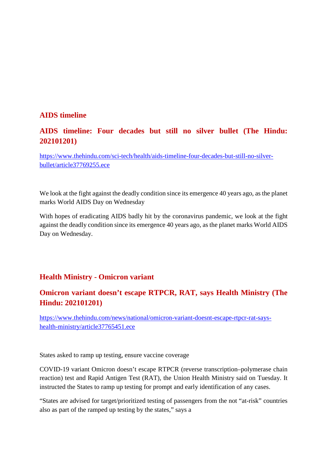### **AIDS timeline**

### **AIDS timeline: Four decades but still no silver bullet (The Hindu: 202101201)**

https://www.thehindu.com/sci-tech/health/aids-timeline-four-decades-but-still-no-silverbullet/article37769255.ece

We look at the fight against the deadly condition since its emergence 40 years ago, as the planet marks World AIDS Day on Wednesday

With hopes of eradicating AIDS badly hit by the coronavirus pandemic, we look at the fight against the deadly condition since its emergence 40 years ago, as the planet marks World AIDS Day on Wednesday.

### **Health Ministry - Omicron variant**

### **Omicron variant doesn't escape RTPCR, RAT, says Health Ministry (The Hindu: 202101201)**

https://www.thehindu.com/news/national/omicron-variant-doesnt-escape-rtpcr-rat-sayshealth-ministry/article37765451.ece

States asked to ramp up testing, ensure vaccine coverage

COVID-19 variant Omicron doesn't escape RTPCR (reverse transcription–polymerase chain reaction) test and Rapid Antigen Test (RAT), the Union Health Ministry said on Tuesday. It instructed the States to ramp up testing for prompt and early identification of any cases.

"States are advised for target/prioritized testing of passengers from the not "at-risk" countries also as part of the ramped up testing by the states," says a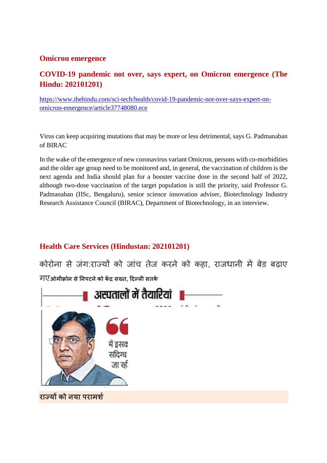### **Omicron emergence**

### **COVID-19 pandemic not over, says expert, on Omicron emergence (The Hindu: 202101201)**

https://www.thehindu.com/sci-tech/health/covid-19-pandemic-not-over-says-expert-onomicron-emergence/article37748080.ece

Virus can keep acquiring mutations that may be more or less detrimental, says G. Padmanaban of BIRAC

In the wake of the emergence of new coronavirus variant Omicron, persons with co-morbidities and the older age group need to be monitored and, in general, the vaccination of children is the next agenda and India should plan for a booster vaccine dose in the second half of 2022, although two-dose vaccination of the target population is still the priority, said Professor G. Padmanaban (IISc, Bengaluru), senior science innovation adviser, Biotechnology Industry Research Assistance Council (BIRAC), Department of Biotechnology, in an interview.

### **Health Care Services (Hindustan: 202101201)**

कोरोना से जंग:राज्यों को जांच तेज करने को कहा, राजधानी में बेड बढ़ाए गए**ओमी ोन सेनपटनेको क स त, दलसतक**

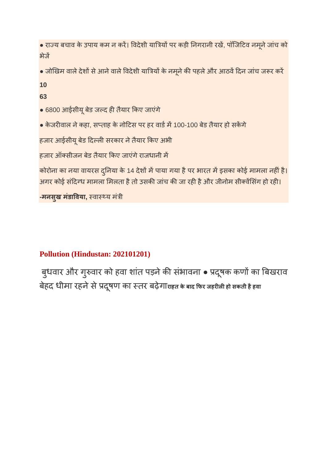**●** राय बचाव के उपाय कम न कर। वदेशी यायपर कड़ी नगरानी रख, पॉिजटव नमूनेजांच को भेज

 $\bullet$  जोखिम वाले देशों से आने वाले विदेशी यात्रियों के नमूने की पहले और आठवें दिन जांच जरूर करें

**10**

**63**

- **●** 6800 आईसीयूबेड जद हतैयार कए जाएंगे
- $\bullet$  केजरीवाल ने कहा, सप्ताह के नोटिस पर हर वार्ड में 100-100 बेड तैयार हो सकेंगे

हजार आईसीयू बेड दिल्ली सरकार ने तैयार किए अभी

.<br>हजार ऑक्सीजन बेड तैयार किए जाएंगे राजधानी में

कोरोना का नया वायरस दुनिया के 14 देशों में पाया गया है पर भारत में इसका कोई मामला नहीं है। अगर कोई संदिग्ध मामला मिलता है तो उसकी जांच की जा रही है और जीनोम सीक्वेंसिंग हो रही।

**-मनसुख मंडाविया**, स्वास्थ्य मंत्री

### **Pollution (Hindustan: 202101201)**

बुधवार और गुरुवार को हवा शांत पड़ने की संभावना • प्रदूषक कर्णो का बिखराव बेहद धीमा रहनेसेदष ू ण का तर बढ़ेगा**राहत के बाद फर जहरलहो सकती हैहवा**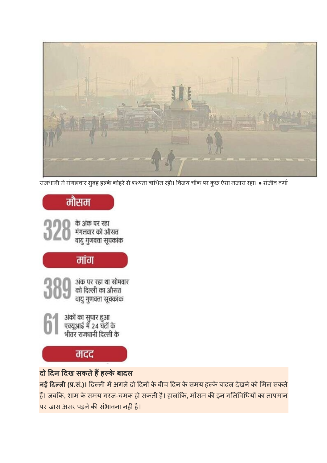**नई दल(.सं.)।** दलमअगलेदो दनके बीच दन के समय हके बादल देखनेको मल सकते हैं। जबकि, शाम के समय गरज-चमक हो सकती है। हालांकि, मौसम की इन गतिविधियों का तापमान पर खास असर पड़ने की संभावना नहीं है।

**दो दन दख सकतेहहके बादल**

के अंक पर रहा मंगलवार को औसत वायु गुणवत्ता सूचकांक मांग अंक पर रहा था सोमवार<br>को दिल्ली का औसत वायु गुणवत्ता सूचकांक अंकों का सुधार हुआ<br>एक्यूआई में 24 घंटों के<br>भीतर राजधानी दिल्ली के मदद

मौसम

राजधानी ममंगलवार सुबह हके कोहरेसेयता बाधत रह। वजय चौक पर कुछ ऐसा नजारा रहा। ● संजीव वमा

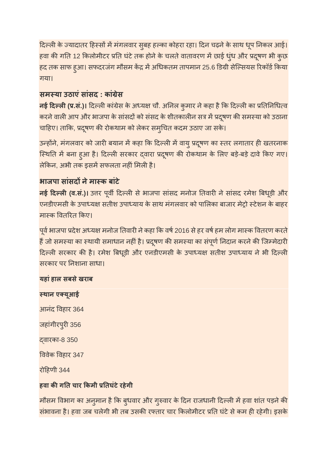दिल्ली के ज्यादातर हिस्सों में मंगलवार सुबह हल्का कोहरा रहा। दिन चढ़ने के साथ धूप निकल आई। हवा की गति 12 किलोमीटर प्रति घंटे तक होने के चलते वातावरण में छाई धुंध और प्रदूषण भी कुछ हद तक साफ हुआ। सफदरजंग मौसम केंद्र में अधिकतम तापमान 25.6 डिग्री सेल्सियस रिकॉर्ड किया गया।

### **समया उठाएंसांसद : कां ेस**

<mark>र्नई दिल्ली (प्र.सं.)।</mark> दिल्ली कांग्रेस के अध्यक्ष चौ. अनिल कुमार ने कहा है कि दिल्ली का प्रतिनिधित्व करने वाली आप और भाजपा के सांसदों को संसद के शीतकालीन सत्र में प्रदूषण की समस्या को उठाना चाहिए। ताकि, प्रदूषण की रोकथाम को लेकर समुचित कदम उठाए जा सके।

उन्होंने, मंगलवार को जारी बयान में कहा कि दिल्ली में वायु प्रदूषण का स्तर लगातार ही खतरनाक स्थिति में बना हुआ है। दिल्ली सरकार द्वारा प्रदूषण की रोकथाम के लिए बड़े-बड़े दावे किए गए। लेकिन, अभी तक इसमें सफलता नहीं मिली है।

### **भाजपा सासं दनेमाक बांटे**

**नई दिल्ली (व.सं.)।** उत्तर पूर्वी दिल्ली से भाजपा सांसद मनोज तिवारी ने सांसद रमेश बिधूड़ी और एनडीएमसी के उपाध्यक्ष सतीश उपाध्याय के साथ मंगलवार को पालिका बाजार मेट्रो स्टेशन के बाहर मास्क वितरित किए।

पूर्व भाजपा प्रदेश अध्यक्ष मनोज तिवारी ने कहा कि वर्ष 2016 से हर वर्ष हम लोग मास्क वितरण करते हैं जो समस्या का स्थायी समाधान नहीं है। प्रदूषण की समस्या का संपूर्ण निदान करने की जिम्मेदारी दिल्ली सरकार की है। रमेश बिधूड़ी और एनडीएमसी के उपाध्यक्ष सतीश उपाध्याय ने भी दिल्ली सरकार पर नशाना साधा।

### **यहांहाल सबसेखराब**

**थान एयूआई** आनंद वहार 364 जहांगीरपुरी 356 वारका-8 350 ववेक वहार 347 रोहणी 344

### **हवा कगत चार कमी तघंटेरहेगी**

मौसम विभाग का अनुमान है कि बुधवार और गुरुवार के दिन राजधानी दिल्ली में हवा शांत पड़ने की संभावना है। हवा जब चलेगी भी तब उसकी रफ्तार चार किलोमीटर प्रति घंटे से कम ही रहेगी। इसके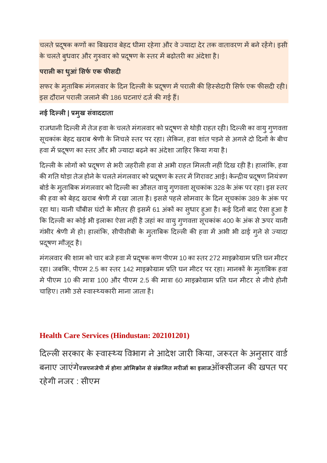चलते प्रदूषक कणों का बिखराव बेहद धीमा रहेगा और वे ज्यादा देर तक वातावरण में बने रहेंगे। इसी के चलते बुधवार और गुरुवार को प्रदूषण के स्तर में बढ़ोतरी का अंदेशा है।

### **परालका धआु ंसफएक फसद**

सफर के मुताबिक मंगलवार के दिन दिल्ली के प्रदूषण में पराली की हिस्सेदारी सिर्फ एक फीसदी रही। इस दौरान पराली जलाने की 186 घटनाएं दर्ज की गई हैं।

### **नई दल| मुख संवाददाता**

राजधानी दिल्ली में तेज हवा के चलते मंगलवार को प्रदूषण से थोड़ी राहत रही। दिल्ली का वायु गुणवत्ता सूचकांक बेहद खराब श्रेणी के निचले स्तर पर रहा। लेकिन, हवा शांत पड़ने से अगले दो दिनों के बीच हवा में प्रदुषण का स्तर और भी ज्यादा बढ़ने का अंदेशा जाहिर किया गया है।

दिल्ली के लोगों को प्रदूषण से भरी जहरीली हवा से अभी राहत मिलती नहीं दिख रही है। हालांकि, हवा की गति थोड़ा तेज होने के चलते मंगलवार को प्रदूषण के स्तर में गिरावट आई। केन्द्रीय प्रदूषण नियंत्रण बोर्ड के मुताबिक मंगलवार को दिल्ली का औसत वायु गुणवत्ता सूचकांक 328 के अंक पर रहा। इस स्तर की हवा को बेहद खराब श्रेणी में रखा जाता है। इससे पहले सोमवार के दिन सूचकांक 389 के अंक पर रहा था। यानी चौबीस घंटों के भीतर ही इसमें 61 अंकों का सुधार हुआ है। कई दिनों बाद ऐसा हुआ है कि दिल्ली का कोई भी इलाका ऐसा नहीं है जहां का वायु गुणवत्ता सूचकांक 400 के अंक से ऊपर यानी गंभीर श्रेणी में हो। हालांकि, सीपीसीबी के मुताबिक दिल्ली की हवा में अभी भी ढाई गुने से ज्यादा दषूण मौजूद है।

मंगलवार की शाम को चार बजे हवा में प्रदूषक कण पीएम 10 का स्तर 272 माइक्रोग्राम प्रति घन मीटर रहा। जबकि, पीएम 2.5 का स्तर 142 माइक्रोग्राम प्रति घन मीटर पर रहा। मानकों के म्**ताबिक हवा** मे पीएम 10 की मात्रा 100 और पीएम 2.5 की मात्रा 60 माइक्रोग्राम प्रति घन मीटर से नीचे होनी चाहिए। तभी उसे स्वास्थ्यकारी माना जाता है।

### **Health Care Services (Hindustan: 202101201)**

दिल्ली सरकार के स्वास्थ्य विभाग ने आदेश जारी किया, जरूरत के अनुसार वार्ड बनाए जाएंगे **एलएनजेपी महोगा ओम ोन सेसं मत मरजका इलाज**ऑसीजन कखपत पर रहेगी नजर : सीएम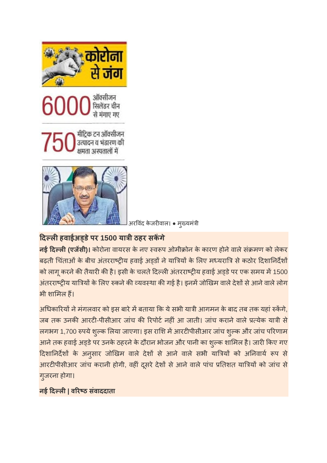







अरविंद केजरीवाल। • मुख्यमंत्री

### **दलहवाईअडेपर 1500 याी ठहर सकगे**

**नई दिल्ली (एजेंसी)।** कोरोना वायरस के नए स्वरूप ओमीक्रोन के कारण होने वाले संक्रमण को लेकर बढ़ती चिंताओं के बीच अंतरराष्ट्रीय हवाई अड़डों ने यात्रियों के लिए मध्यरात्रि से कठोर दिशानिर्देशों को लागू करने की तैयारी की है। इसी के चलते दिल्ली अंतरराष्ट्रीय हवाई अड्डे पर एक समय में 1500 अंतरराष्ट्रीय यात्रियों के लिए रुकने की व्यवस्था की गई है। इनमें जोखिम वाले देशों से आने वाले लोग भी शामल ह।

अधिकारियों ने मंगलवार को इस बारे में बताया कि ये सभी यात्री आगमन के बाद तब तक यहां रुकेंगे, जब तक उनकी आरटी-पीसीआर जांच की रिपोर्ट नहीं आ जाती। जांच कराने वाले प्रत्येक यात्री से लगभग 1,700 रुपये शुल्क लिया जाएगा। इस राशि में आरटीपीसीआर जांच शुल्क और जांच परिणाम आने तक हवाई अड्डे पर उनके ठहरने के दौरान भोजन और पानी का शुल्क शामिल है। जारी किए गए दिशानिर्देशों के अनुसार जोखिम वाले देशों से आने वाले सभी यात्रियों को अनिवार्य रूप से आरटीपीसीआर जांच करानी होगी, वहीं दूसरे देशों से आने वाले पांच प्रतिशत यात्रियों को जांच से गुजरना होगा।

**नई दल| वरठ संवाददाता**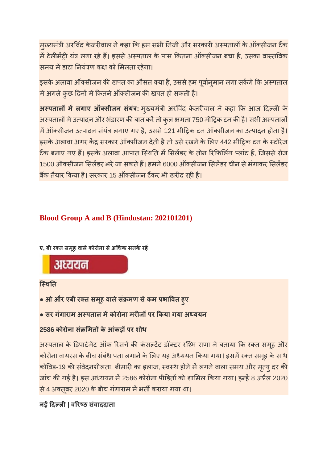मुख्यमंत्री अरविंद केजरीवाल ने कहा कि हम सभी निजी और सरकारी अस्पतालों के ऑक्सीजन टैंक में टेलीमेंट्री यंत्र लगा रहे हैं। इससे अस्पताल के पास कितना ऑक्सीजन बचा है, उसका वास्तविक समय में डाटा नियंत्रण कक्ष को मिलता रहेगा।

इसके अलावा ऑक्सीजन की खपत का औसत क्या है, उससे हम पूर्वान्**मान लगा सकेंगे कि अस्पताल** में अगले कुछ दिनों में कितने ऑक्सीजन की खपत हो सकती है।

**अस्पतालों में लगाए ऑक्सीजन संयंत्र:** मुख्यमंत्री अरविंद केजरीवाल ने कहा कि आज दिल्ली के अस्पतालों में उत्पादन और भंडारण की बात करें तो कुल क्षमता 750 मीट्रिक टन की है। सभी अस्पतालों में ऑक्सीजन उत्पादन संयंत्र लगाए गए है, उससे 121 मीट्रिक टन ऑक्सीजन का उत्पादन होता है। इसके अलावा अगर केंद्र सरकार ऑक्सीजन देती है तो उसे रखने के लिए 442 मीटिक टन के स्टोरेज टैंक बनाए गए हैं। इसके अलावा आपात स्थिति में सिलेंडर के तीन रिफिलिंग प्लांट हैं, जिससे रोज 1500 ऑक्सीजन सिलेंडर भरे जा सकते हैं। हमने 6000 ऑक्सीजन सिलेंडर चीन से मंगाकर सिलेंडर बैंक तैयार किया है। सरकार 15 ऑक्सीजन टैंकर भी खरीद रही है।

### **Blood Group A and B (Hindustan: 202101201)**

**ए, बी रत समूह वालेकोरोना सेअधक सतकरह**

## अध्ययन

### **िथत**

- **ओ और एबी रत समूह वालेसं मण सेकम भावत हुए**
- **सर गंगाराम अपताल मकोरोना मरजपर कया गया अययन**

### **2586 कोरोना सं मतकेआंकड़पर शोध**

अस्पताल के डिपार्टमेंट ऑफ रिसर्च की कंसल्टेंट डॉक्टर रश्मि राणा ने बताया कि रक्त समूह और कोरोना वायरस के बीच संबंध पता लगाने के लिए यह अध्ययन किया गया। इसमें रक्त समूह के साथ कोविड-19 की संवेदनशीलता, बीमारी का इलाज, स्वस्थ होने में लगने वाला समय और मृत्यु दर की जांच की गई है। इस अध्ययन में 2586 कोरोना पीड़ितों को शामिल किया गया। इन्हें 8 अप्रैल 2020 से 4 अक्तूबर 2020 के बीच गंगाराम में भर्ती कराया गया था।

### **नई दल| वरठ संवाददाता**